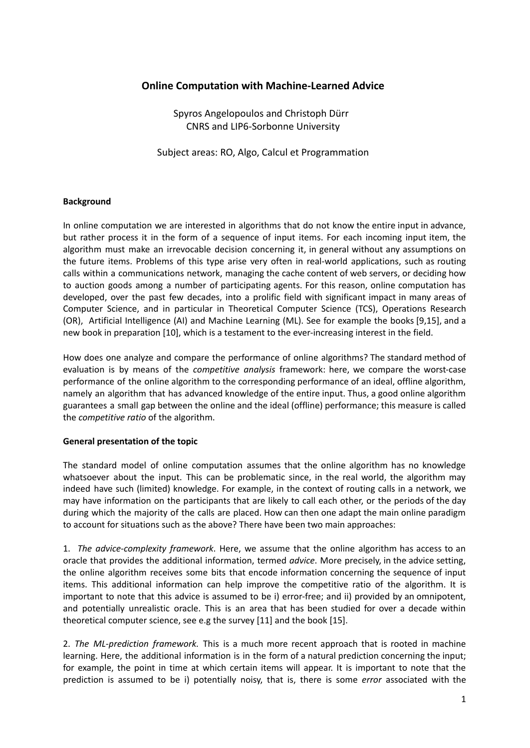# **Online Computation with Machine-Learned Advice**

Spyros Angelopoulos and Christoph Dürr CNRS and LIP6-Sorbonne University

Subject areas: RO, Algo, Calcul et Programmation

## **Background**

In online computation we are interested in algorithms that do not know the entire input in advance, but rather process it in the form of a sequence of input items. For each incoming input item, the algorithm must make an irrevocable decision concerning it, in general without any assumptions on the future items. Problems of this type arise very often in real-world applications, such as routing calls within a communications network, managing the cache content of web servers, or deciding how to auction goods among a number of participating agents. For this reason, online computation has developed, over the past few decades, into a prolific field with significant impact in many areas of Computer Science, and in particular in Theoretical Computer Science (TCS), Operations Research (OR), Artificial Intelligence (AI) and Machine Learning (ML). See for example the books [9,15], and a new book in preparation [10], which is a testament to the ever-increasing interest in the field.

How does one analyze and compare the performance of online algorithms? The standard method of evaluation is by means of the *competitive analysis* framework: here, we compare the worst-case performance of the online algorithm to the corresponding performance of an ideal, offline algorithm, namely an algorithm that has advanced knowledge of the entire input. Thus, a good online algorithm guarantees a small gap between the online and the ideal (offline) performance; this measure is called the *competitive ratio* of the algorithm.

## **General presentation of the topic**

The standard model of online computation assumes that the online algorithm has no knowledge whatsoever about the input. This can be problematic since, in the real world, the algorithm may indeed have such (limited) knowledge. For example, in the context of routing calls in a network, we may have information on the participants that are likely to call each other, or the periods of the day during which the majority of the calls are placed. How can then one adapt the main online paradigm to account for situations such as the above? There have been two main approaches:

1. *The advice-complexity framework*. Here, we assume that the online algorithm has access to an oracle that provides the additional information, termed *advice*. More precisely, in the advice setting, the online algorithm receives some bits that encode information concerning the sequence of input items. This additional information can help improve the competitive ratio of the algorithm. It is important to note that this advice is assumed to be i) error-free; and ii) provided by an omnipotent, and potentially unrealistic oracle. This is an area that has been studied for over a decade within theoretical computer science, see e.g the survey [11] and the book [15].

2. *The ML-prediction framework.* This is a much more recent approach that is rooted in machine learning. Here, the additional information is in the form of a natural prediction concerning the input; for example, the point in time at which certain items will appear. It is important to note that the prediction is assumed to be i) potentially noisy, that is, there is some *error* associated with the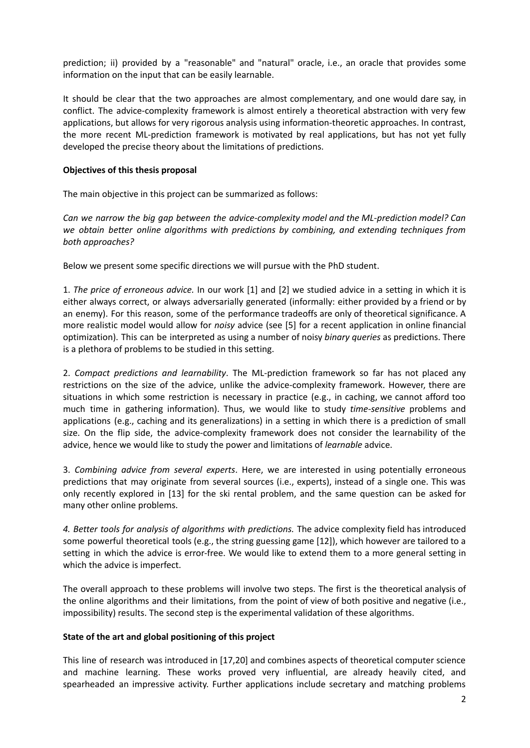prediction; ii) provided by a "reasonable" and "natural" oracle, i.e., an oracle that provides some information on the input that can be easily learnable.

It should be clear that the two approaches are almost complementary, and one would dare say, in conflict. The advice-complexity framework is almost entirely a theoretical abstraction with very few applications, but allows for very rigorous analysis using information-theoretic approaches. In contrast, the more recent ML-prediction framework is motivated by real applications, but has not yet fully developed the precise theory about the limitations of predictions.

## **Objectives of this thesis proposal**

The main objective in this project can be summarized as follows:

*Can we narrow the big gap between the advice-complexity model and the ML-prediction model? Can we obtain better online algorithms with predictions by combining, and extending techniques from both approaches?*

Below we present some specific directions we will pursue with the PhD student.

1. *The price of erroneous advice.* In our work [1] and [2] we studied advice in a setting in which it is either always correct, or always adversarially generated (informally: either provided by a friend or by an enemy). For this reason, some of the performance tradeoffs are only of theoretical significance. A more realistic model would allow for *noisy* advice (see [5] for a recent application in online financial optimization). This can be interpreted as using a number of noisy *binary queries* as predictions. There is a plethora of problems to be studied in this setting.

2. *Compact predictions and learnability*. The ML-prediction framework so far has not placed any restrictions on the size of the advice, unlike the advice-complexity framework. However, there are situations in which some restriction is necessary in practice (e.g., in caching, we cannot afford too much time in gathering information). Thus, we would like to study *time-sensitive* problems and applications (e.g., caching and its generalizations) in a setting in which there is a prediction of small size. On the flip side, the advice-complexity framework does not consider the learnability of the advice, hence we would like to study the power and limitations of *learnable* advice.

3. *Combining advice from several experts*. Here, we are interested in using potentially erroneous predictions that may originate from several sources (i.e., experts), instead of a single one. This was only recently explored in [13] for the ski rental problem, and the same question can be asked for many other online problems.

*4. Better tools for analysis of algorithms with predictions.* The advice complexity field has introduced some powerful theoretical tools (e.g., the string guessing game [12]), which however are tailored to a setting in which the advice is error-free. We would like to extend them to a more general setting in which the advice is imperfect.

The overall approach to these problems will involve two steps. The first is the theoretical analysis of the online algorithms and their limitations, from the point of view of both positive and negative (i.e., impossibility) results. The second step is the experimental validation of these algorithms.

## **State of the art and global positioning of this project**

This line of research was introduced in [17,20] and combines aspects of theoretical computer science and machine learning. These works proved very influential, are already heavily cited, and spearheaded an impressive activity. Further applications include secretary and matching problems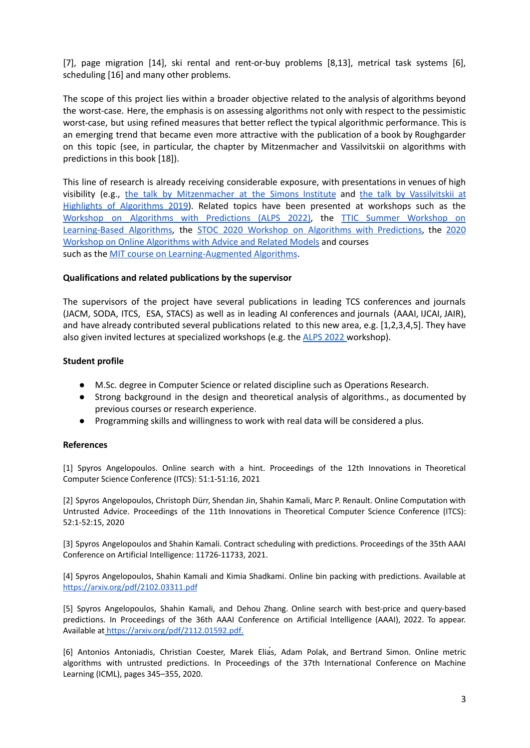[7], page migration [14], ski rental and rent-or-buy problems [8,13], metrical task systems [6], scheduling [16] and many other problems.

The scope of this project lies within a broader objective related to the analysis of algorithms beyond the worst-case. Here, the emphasis is on assessing algorithms not only with respect to the pessimistic worst-case, but using refined measures that better reflect the typical algorithmic performance. This is an emerging trend that became even more attractive with the publication of a book by Roughgarder on this topic (see, in particular, the chapter by Mitzenmacher and Vassilvitskii on algorithms with predictions in this book [18]).

This line of research is already receiving considerable exposure, with presentations in venues of high visibility (e.g., the talk by [Mitzenmacher](https://simons.berkeley.edu/talks/machine-learning-algorithms) at the Simons Institute and the talk by [Vassilvitskii](http://theory.stanford.edu/~sergei/slides/HALG-slides.pdf) at Highlights of [Algorithms](http://theory.stanford.edu/~sergei/slides/HALG-slides.pdf) 2019). Related topics have been presented at workshops such as the Workshop on Algorithms with [Predictions](https://alps2022.epfl.ch/) (ALPS 2022), the TTIC Summer [Workshop](http://www.mit.edu/~vakilian/ttic-workshop.html) on [Learning-Based](http://www.mit.edu/~vakilian/ttic-workshop.html) Algorithms, the STOC 2020 Workshop on Algorithms with [Predictions,](https://www.mit.edu/~vakilian/stoc-workshop.html) the [2020](https://people.inf.ethz.ch/dkomm/olawa2020/) Workshop on Online [Algorithms](https://people.inf.ethz.ch/dkomm/olawa2020/) with Advice and Related Models and courses such as the **MIT** course on [Learning-Augmented](https://www.eecs.mit.edu/academics-admissions/academic-information/subject-updates-spring-2019/6890) Algorithms.

#### **Qualifications and related publications by the supervisor**

The supervisors of the project have several publications in leading TCS conferences and journals (JACM, SODA, ITCS, ESA, STACS) as well as in leading AI conferences and journals (AAAI, IJCAI, JAIR), and have already contributed several publications related to this new area, e.g. [1,2,3,4,5]. They have also given invited lectures at specialized workshops (e.g. the ALPS [2022](https://alps2022.epfl.ch/) workshop).

#### **Student profile**

- M.Sc. degree in Computer Science or related discipline such as Operations Research.
- Strong background in the design and theoretical analysis of algorithms., as documented by previous courses or research experience.
- Programming skills and willingness to work with real data will be considered a plus.

#### **References**

[1] Spyros Angelopoulos. Online search with a hint. Proceedings of the 12th Innovations in Theoretical Computer Science Conference (ITCS): 51:1-51:16, 2021

[2] Spyros Angelopoulos, Christoph Dürr, Shendan Jin, Shahin Kamali, Marc P. Renault. Online Computation with Untrusted Advice. Proceedings of the 11th Innovations in Theoretical Computer Science Conference (ITCS): 52:1-52:15, 2020

[3] Spyros Angelopoulos and Shahin Kamali. Contract scheduling with predictions. Proceedings of the 35th AAAI Conference on Artificial Intelligence: 11726-11733, 2021.

[4] Spyros Angelopoulos, Shahin Kamali and Kimia Shadkami. Online bin packing with predictions. Available at <https://arxiv.org/pdf/2102.03311.pdf>

[5] Spyros Angelopoulos, Shahin Kamali, and Dehou Zhang. Online search with best-price and query-based predictions[.](https://arxiv.org/pdf/2112.01592.pdf.) In Proceedings of the 36th AAAI Conference on Artificial Intelligence (AAAI), 2022. To appear. Available at <https://arxiv.org/pdf/2112.01592.pdf>[.](https://arxiv.org/pdf/2112.01592.pdf.)

[6] Antonios Antoniadis, Christian Coester, Marek Eliás, Adam Polak, and Bertrand Simon. Online metric algorithms with untrusted predictions. In Proceedings of the 37th International Conference on Machine Learning (ICML), pages 345–355, 2020.